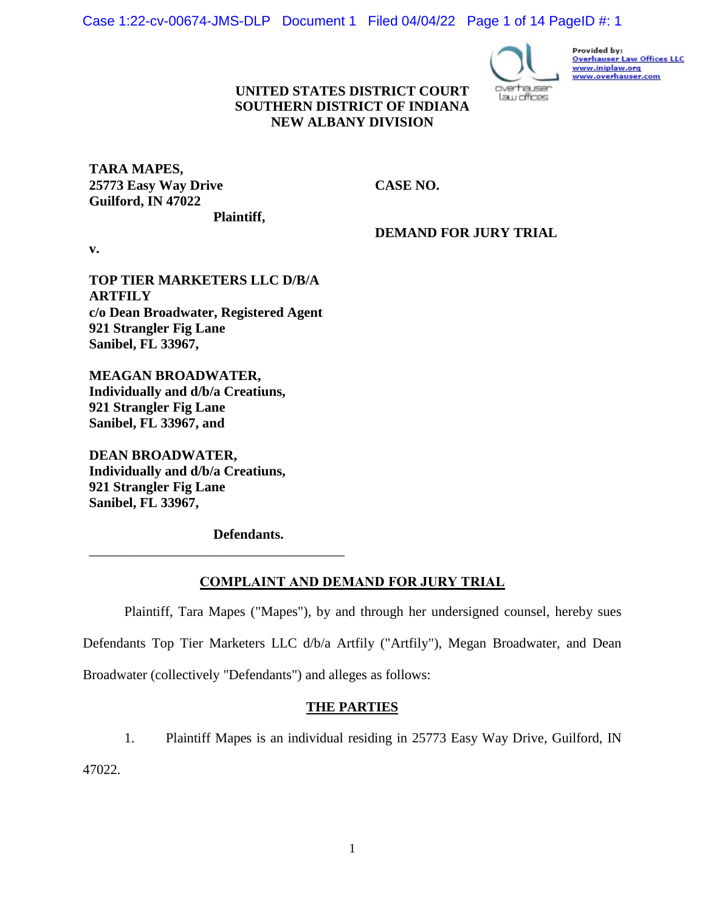Case 1:22-cv-00674-JMS-DLP Document 1 Filed 04/04/22 Page 1 of 14 PageID #: 1



Provided by: **Overhauser Law Offices LLC** www.iniplaw.org<br>www.overhauser.com

## **UNITED STATES DISTRICT COURT SOUTHERN DISTRICT OF INDIANA NEW ALBANY DIVISION**

**TARA MAPES, 25773 Easy Way Drive Guilford, IN 47022**

**CASE NO.** 

**Plaintiff,**

**DEMAND FOR JURY TRIAL**

**v.**

**TOP TIER MARKETERS LLC D/B/A ARTFILY c/o Dean Broadwater, Registered Agent 921 Strangler Fig Lane Sanibel, FL 33967,**

**MEAGAN BROADWATER, Individually and d/b/a Creatiuns, 921 Strangler Fig Lane Sanibel, FL 33967, and**

**DEAN BROADWATER, Individually and d/b/a Creatiuns, 921 Strangler Fig Lane Sanibel, FL 33967,**

**Defendants.**

\_\_\_\_\_\_\_\_\_\_\_\_\_\_\_\_\_\_\_\_\_\_\_\_\_\_\_\_\_\_\_\_\_\_\_\_\_

# **COMPLAINT AND DEMAND FOR JURY TRIAL**

Plaintiff, Tara Mapes ("Mapes"), by and through her undersigned counsel, hereby sues Defendants Top Tier Marketers LLC d/b/a Artfily ("Artfily"), Megan Broadwater, and Dean Broadwater (collectively "Defendants") and alleges as follows:

# **THE PARTIES**

1. Plaintiff Mapes is an individual residing in 25773 Easy Way Drive, Guilford, IN

47022.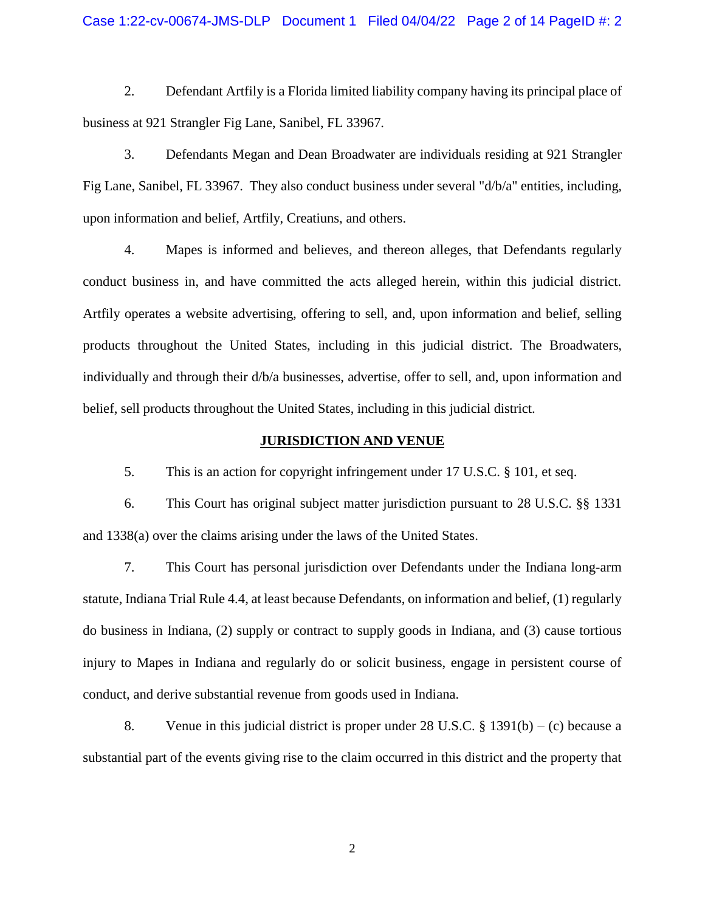## Case 1:22-cv-00674-JMS-DLP Document 1 Filed 04/04/22 Page 2 of 14 PageID #: 2

2. Defendant Artfily is a Florida limited liability company having its principal place of business at 921 Strangler Fig Lane, Sanibel, FL 33967.

3. Defendants Megan and Dean Broadwater are individuals residing at 921 Strangler Fig Lane, Sanibel, FL 33967. They also conduct business under several "d/b/a" entities, including, upon information and belief, Artfily, Creatiuns, and others.

4. Mapes is informed and believes, and thereon alleges, that Defendants regularly conduct business in, and have committed the acts alleged herein, within this judicial district. Artfily operates a website advertising, offering to sell, and, upon information and belief, selling products throughout the United States, including in this judicial district. The Broadwaters, individually and through their d/b/a businesses, advertise, offer to sell, and, upon information and belief, sell products throughout the United States, including in this judicial district.

## **JURISDICTION AND VENUE**

5. This is an action for copyright infringement under 17 U.S.C. § 101, et seq.

6. This Court has original subject matter jurisdiction pursuant to 28 U.S.C. §§ 1331 and 1338(a) over the claims arising under the laws of the United States.

7. This Court has personal jurisdiction over Defendants under the Indiana long-arm statute, Indiana Trial Rule 4.4, at least because Defendants, on information and belief, (1) regularly do business in Indiana, (2) supply or contract to supply goods in Indiana, and (3) cause tortious injury to Mapes in Indiana and regularly do or solicit business, engage in persistent course of conduct, and derive substantial revenue from goods used in Indiana.

8. Venue in this judicial district is proper under 28 U.S.C.  $\S$  1391(b) – (c) because a substantial part of the events giving rise to the claim occurred in this district and the property that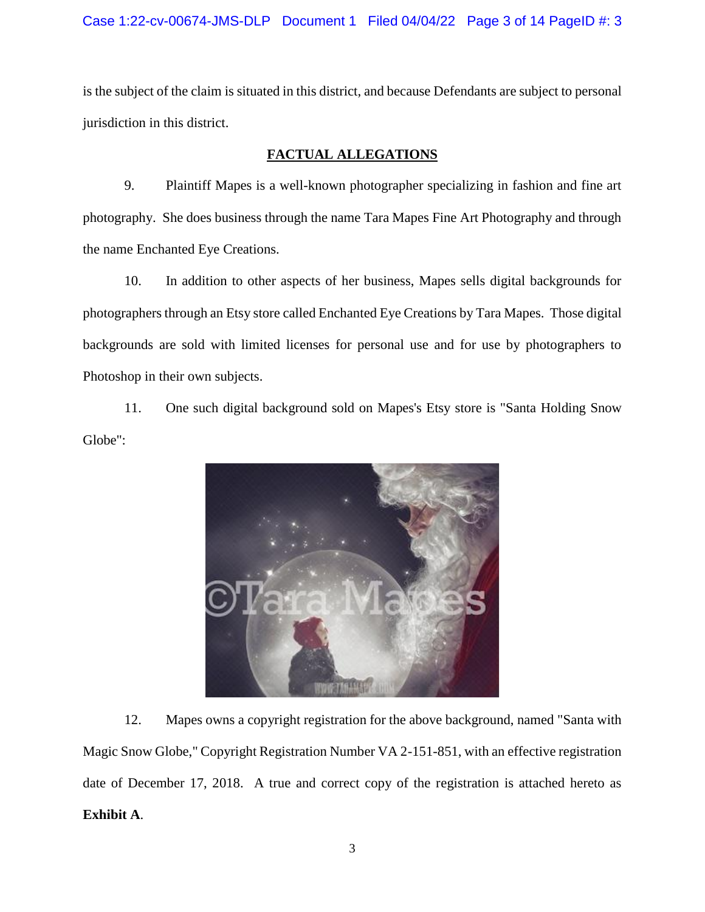is the subject of the claim is situated in this district, and because Defendants are subject to personal jurisdiction in this district.

# **FACTUAL ALLEGATIONS**

9. Plaintiff Mapes is a well-known photographer specializing in fashion and fine art photography. She does business through the name Tara Mapes Fine Art Photography and through the name Enchanted Eye Creations.

10. In addition to other aspects of her business, Mapes sells digital backgrounds for photographers through an Etsy store called Enchanted Eye Creations by Tara Mapes. Those digital backgrounds are sold with limited licenses for personal use and for use by photographers to Photoshop in their own subjects.

11. One such digital background sold on Mapes's Etsy store is "Santa Holding Snow Globe":



12. Mapes owns a copyright registration for the above background, named "Santa with Magic Snow Globe," Copyright Registration Number VA 2-151-851, with an effective registration date of December 17, 2018. A true and correct copy of the registration is attached hereto as **Exhibit A**.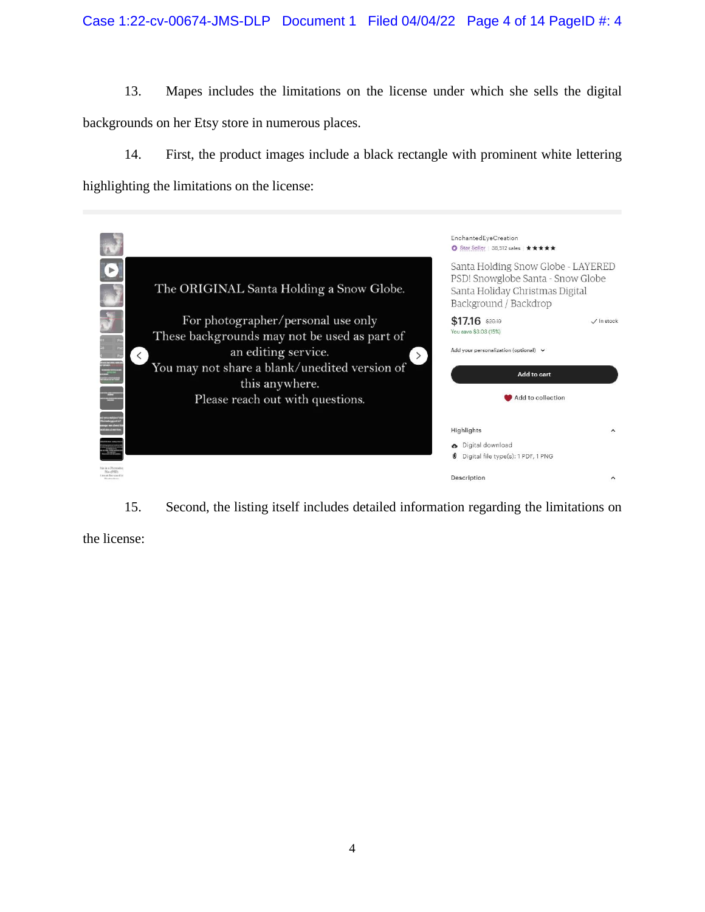13. Mapes includes the limitations on the license under which she sells the digital backgrounds on her Etsy store in numerous places.

14. First, the product images include a black rectangle with prominent white lettering highlighting the limitations on the license:

|                |                                                                      | EnchantedEyeCreation<br>Star Seller   38,512 sales   ★ ★ ★ ★ ★                                                                      |                     |
|----------------|----------------------------------------------------------------------|-------------------------------------------------------------------------------------------------------------------------------------|---------------------|
|                | The ORIGINAL Santa Holding a Snow Globe.                             | Santa Holding Snow Globe - LAYERED<br>PSD! Snowglobe Santa - Snow Globe<br>Santa Holiday Christmas Digital<br>Background / Backdrop |                     |
|                | For photographer/personal use only                                   | $$17.16$ \$20.19<br>You save \$3.03 (15%)                                                                                           | $\sqrt{}$ In stock  |
|                | These backgrounds may not be used as part of                         | Add your personalization (optional) v                                                                                               |                     |
|                | an editing service.<br>You may not share a blank/unedited version of |                                                                                                                                     |                     |
|                | this anywhere.                                                       | Add to cart                                                                                                                         |                     |
|                | Please reach out with questions.                                     | Add to collection                                                                                                                   |                     |
|                |                                                                      |                                                                                                                                     |                     |
|                |                                                                      | Highlights                                                                                                                          | $\sim$              |
|                |                                                                      | bigital download<br>Digital file type(s): 1 PDF, 1 PNG                                                                              |                     |
| longi hid tant |                                                                      | Description                                                                                                                         | $\hat{\phantom{a}}$ |

15. Second, the listing itself includes detailed information regarding the limitations on

the license: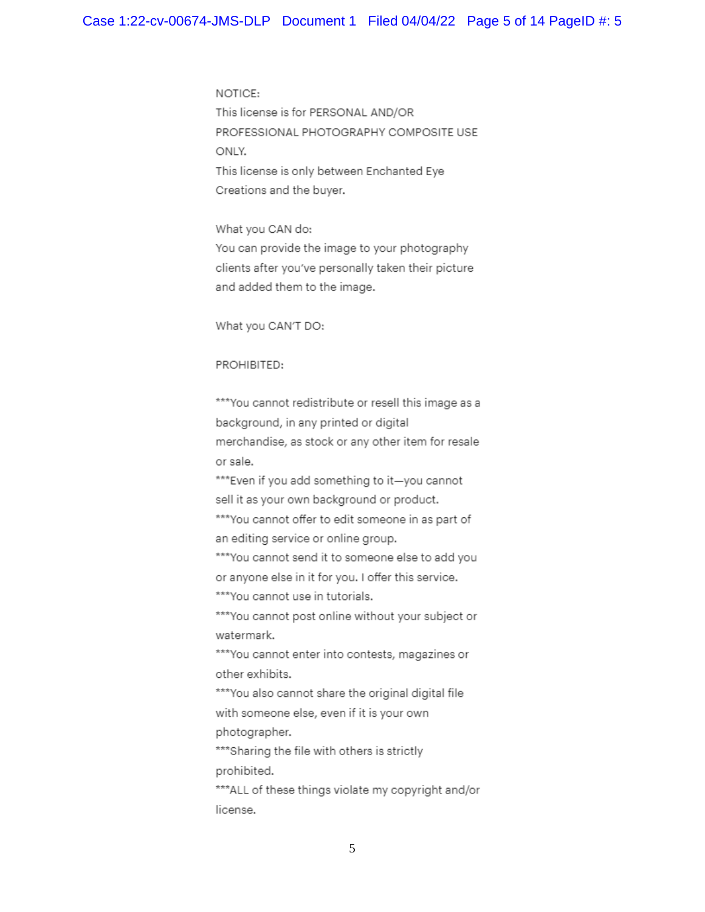NOTICE: This license is for PERSONAL AND/OR PROFESSIONAL PHOTOGRAPHY COMPOSITE USE ONLY. This license is only between Enchanted Eye Creations and the buyer.

What you CAN do: You can provide the image to your photography clients after you've personally taken their picture and added them to the image.

What you CAN'T DO:

#### PROHIBITED:

\*\*\* You cannot redistribute or resell this image as a background, in any printed or digital merchandise, as stock or any other item for resale or sale.

\*\*\*Even if you add something to it-you cannot sell it as your own background or product.

\*\*\*You cannot offer to edit someone in as part of an editing service or online group.

\*\*\* You cannot send it to someone else to add you or anyone else in it for you. I offer this service. \*\*\*You cannot use in tutorials.

\*\*\* You cannot post online without your subject or watermark.

\*\*\* You cannot enter into contests, magazines or other exhibits.

\*\*\*You also cannot share the original digital file with someone else, even if it is your own photographer.

\*\*\*Sharing the file with others is strictly prohibited.

\*\*\*ALL of these things violate my copyright and/or license.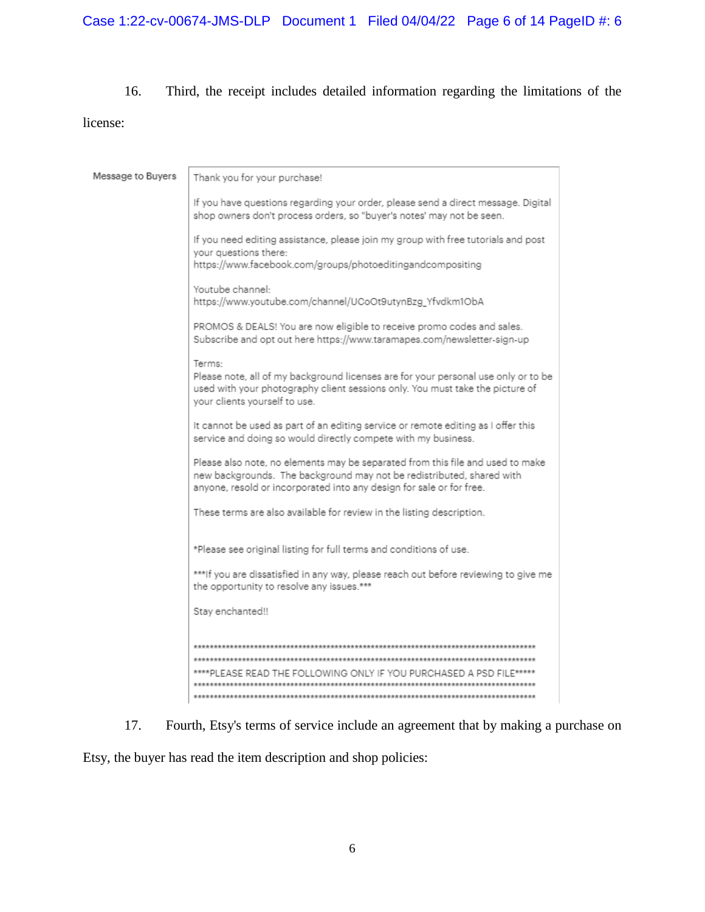# 16. Third, the receipt includes detailed information regarding the limitations of the

# license:

| Message to Buyers | Thank you for your purchase!                                                                                                                                                                                                    |
|-------------------|---------------------------------------------------------------------------------------------------------------------------------------------------------------------------------------------------------------------------------|
|                   | If you have questions regarding your order, please send a direct message. Digital<br>shop owners don't process orders, so "buyer's notes' may not be seen.                                                                      |
|                   | If you need editing assistance, please join my group with free tutorials and post<br>your questions there:<br>https://www.facebook.com/groups/photoeditingandcompositing                                                        |
|                   |                                                                                                                                                                                                                                 |
|                   | Youtube channel:<br>https://www.youtube.com/channel/UCoOt9utynBzg_Yfvdkm1ObA                                                                                                                                                    |
|                   | PROMOS & DEALS! You are now eligible to receive promo codes and sales.<br>Subscribe and opt out here https://www.taramapes.com/newsletter-sign-up                                                                               |
|                   | Terms:                                                                                                                                                                                                                          |
|                   | Please note, all of my background licenses are for your personal use only or to be<br>used with your photography client sessions only. You must take the picture of<br>your clients yourself to use.                            |
|                   | It cannot be used as part of an editing service or remote editing as I offer this<br>service and doing so would directly compete with my business.                                                                              |
|                   | Please also note, no elements may be separated from this file and used to make<br>new backgrounds. The background may not be redistributed, shared with<br>anyone, resold or incorporated into any design for sale or for free. |
|                   | These terms are also available for review in the listing description.                                                                                                                                                           |
|                   | *Please see original listing for full terms and conditions of use.                                                                                                                                                              |
|                   | ***If you are dissatisfied in any way, please reach out before reviewing to give me<br>the opportunity to resolve any issues.***                                                                                                |
|                   | Stay enchanted!!                                                                                                                                                                                                                |
|                   |                                                                                                                                                                                                                                 |
|                   |                                                                                                                                                                                                                                 |
|                   | ****PLEASE READ THE FOLLOWING ONLY IF YOU PURCHASED A PSD FI                                                                                                                                                                    |
|                   |                                                                                                                                                                                                                                 |
|                   |                                                                                                                                                                                                                                 |

17. Fourth, Etsy's terms of service include an agreement that by making a purchase on

Etsy, the buyer has read the item description and shop policies: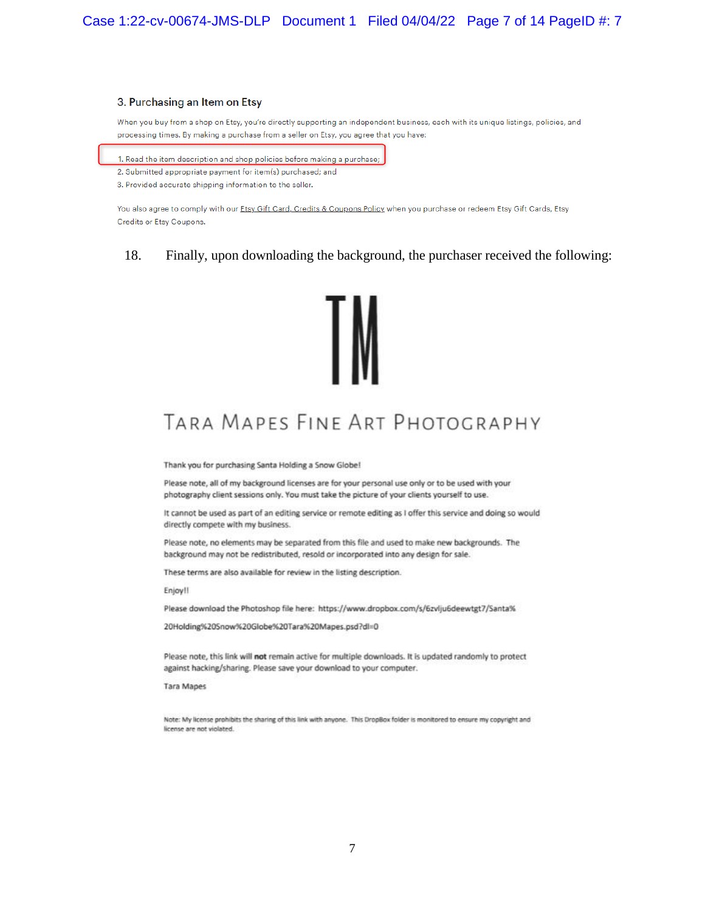#### 3. Purchasing an Item on Etsy

When you buy from a shop on Etsy, you're directly supporting an independent business, each with its unique listings, policies, and processing times. By making a purchase from a seller on Etsy, you agree that you have:

1. Read the item description and shop policies before making a purchase;

2. Submitted appropriate payment for item(s) purchased; and

3. Provided accurate shipping information to the seller.

You also agree to comply with our Etsy Gift Card, Credits & Coupons Policy when you purchase or redeem Etsy Gift Cards, Etsy Credits or Etsy Coupons.

18. Finally, upon downloading the background, the purchaser received the following:



# TARA MAPES FINE ART PHOTOGRAPHY

Thank you for purchasing Santa Holding a Snow Globe!

Please note, all of my background licenses are for your personal use only or to be used with your photography client sessions only. You must take the picture of your clients yourself to use.

It cannot be used as part of an editing service or remote editing as I offer this service and doing so would directly compete with my business.

Please note, no elements may be separated from this file and used to make new backgrounds. The background may not be redistributed, resold or incorporated into any design for sale.

These terms are also available for review in the listing description.

Enjoy!!

Please download the Photoshop file here: https://www.dropbox.com/s/6zvlju6deewtgt7/Santa%

20Holding%20Snow%20Globe%20Tara%20Mapes.psd?dl=0

Please note, this link will not remain active for multiple downloads. It is updated randomly to protect against hacking/sharing. Please save your download to your computer.

**Tara Mapes** 

Note: My license prohibits the sharing of this link with anyone. This DropBox folder is monitored to ensure my copyright and license are not violated.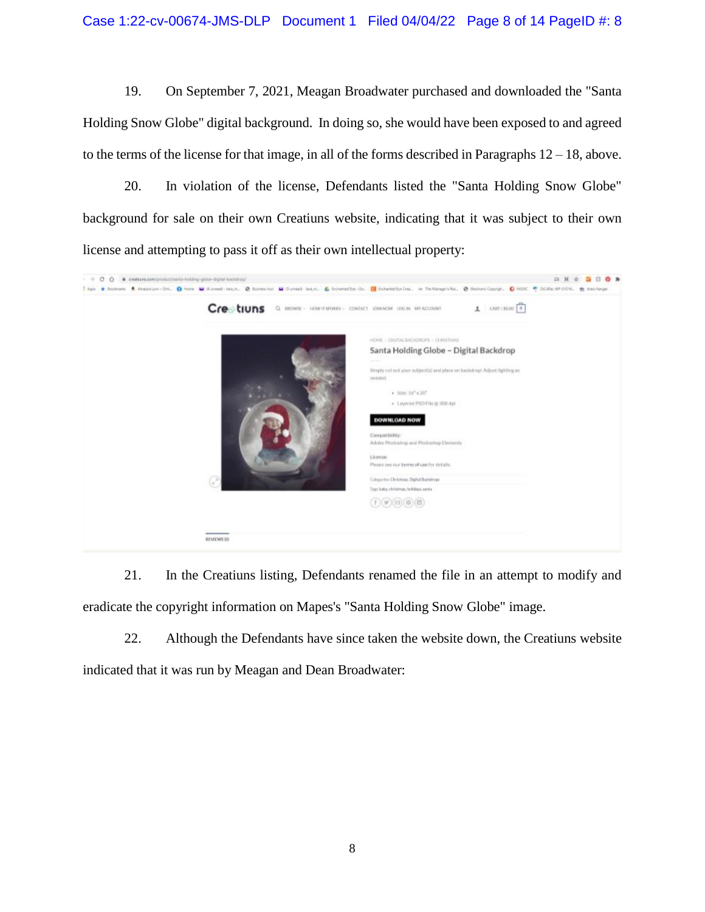19. On September 7, 2021, Meagan Broadwater purchased and downloaded the "Santa Holding Snow Globe" digital background. In doing so, she would have been exposed to and agreed to the terms of the license for that image, in all of the forms described in Paragraphs 12 – 18, above.

20. In violation of the license, Defendants listed the "Santa Holding Snow Globe" background for sale on their own Creatiuns website, indicating that it was subject to their own license and attempting to pass it off as their own intellectual property:



21. In the Creatiuns listing, Defendants renamed the file in an attempt to modify and eradicate the copyright information on Mapes's "Santa Holding Snow Globe" image.

22. Although the Defendants have since taken the website down, the Creatiuns website indicated that it was run by Meagan and Dean Broadwater: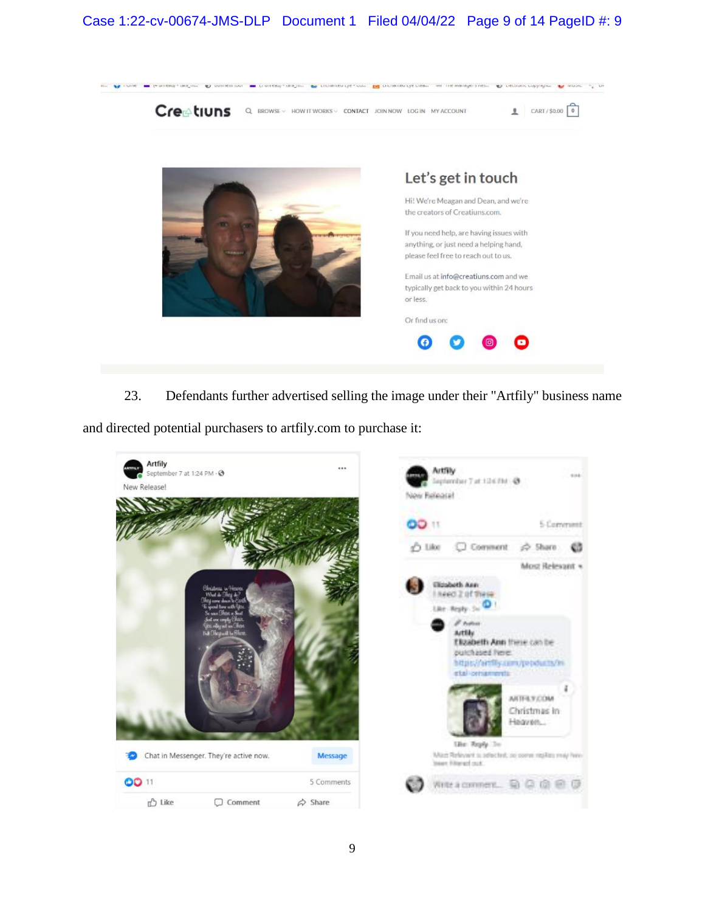# Case 1:22-cv-00674-JMS-DLP Document 1 Filed 04/04/22 Page 9 of 14 PageID #: 9



23. Defendants further advertised selling the image under their "Artfily" business name

and directed potential purchasers to artfily.com to purchase it:

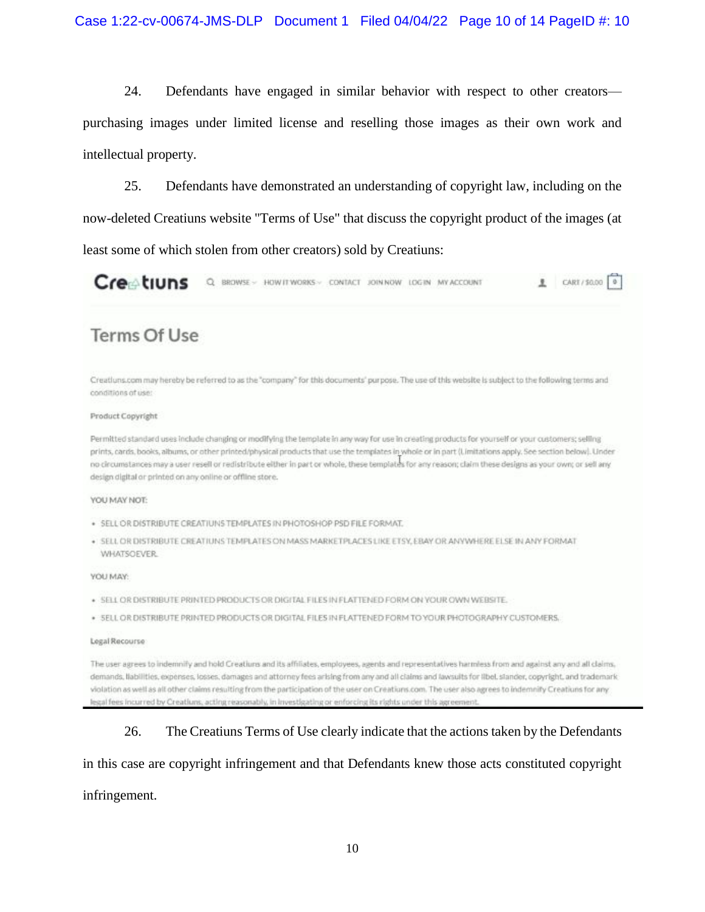24. Defendants have engaged in similar behavior with respect to other creators purchasing images under limited license and reselling those images as their own work and intellectual property.

25. Defendants have demonstrated an understanding of copyright law, including on the now-deleted Creatiuns website "Terms of Use" that discuss the copyright product of the images (at least some of which stolen from other creators) sold by Creatiuns:

Creetiuns Q BROWSE > HOW IT WORKS > CONTACT JOIN NOW LOGIN MY ACCOUNT CART/\$0.00 0

# **Terms Of Use**

Creatiuns.com may hereby be referred to as the "company" for this documents' purpose. The use of this website is subject to the following terms and conditions of use:

#### Product Copyright

Permitted standard uses include changing or modifying the template in any way for use in creating products for yourself or your customers; selling prints, cards, books, albums, or other printed/physical products that use the templates in whole or in part (Limitations apply. See section below). Under no circumstances may a user resell or redistribute either in part or whole, these templates for any reason; claim these designs as your own; or sell any design digital or printed on any online or offline store.

#### YOU MAY NOT:

- · SELL OR DISTRIBUTE CREATIUNS TEMPLATES IN PHOTOSHOP PSD FILE FORMAT.
- . SELL OR DISTRIBUTE CREATIUNS TEMPLATES ON MASS MARKETPLACES LIKE ETSY, EBAY OR ANYWHERE ELSE IN ANY FORMAT **WHATSOEVER**

#### VOLLMAY:

- . SELL OR DISTRIBUTE PRINTED PRODUCTS OR DIGITAL FILES IN FLATTENED FORM ON YOUR OWN WEBSITE.
- · SELL OR DISTRIBUTE PRINTED PRODUCTS OR DIGITAL FILES IN FLATTENED FORM TO YOUR PHOTOGRAPHY CUSTOMERS.

#### Legal Recourse

The user agrees to indemnify and hold Creatiurs and its affiliates, employees, agents and representatives harmless from and against any and all claims, demands, Ilabilities, expenses, losses, damages and attorney fees arising from any and all claims and lawsuits for libel, slander, copyright, and trademark violation as well as all other claims resulting from the participation of the user on Creations.com. The user also agrees to indemnify Creations for any legal fees incurred by Creatiuns, acting reasonably, in investigating or enforcing its rights under this agreement.

## 26. The Creatiuns Terms of Use clearly indicate that the actions taken by the Defendants

# in this case are copyright infringement and that Defendants knew those acts constituted copyright

## infringement.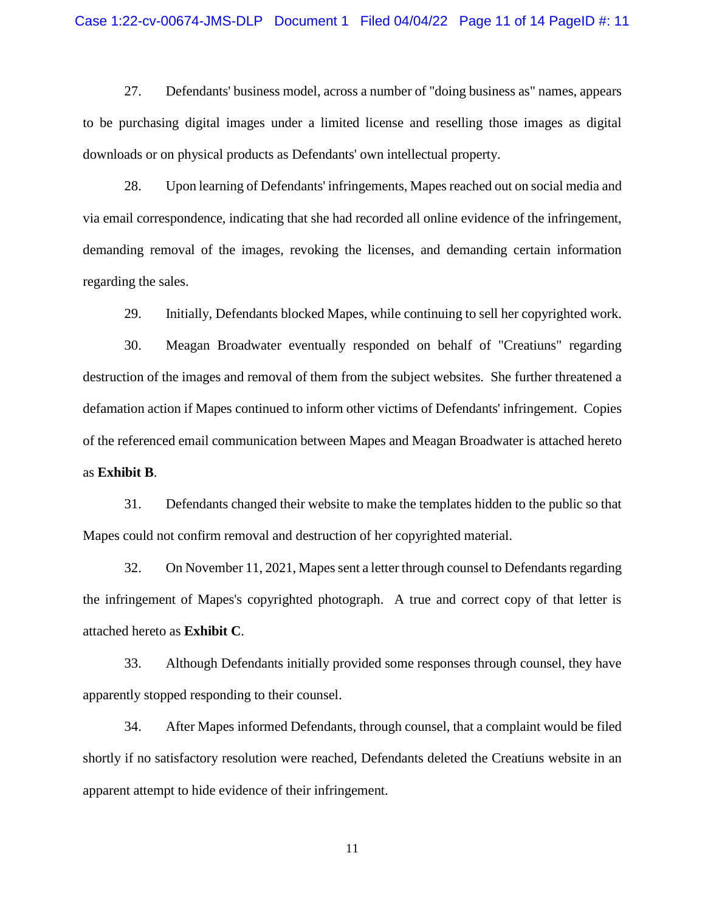### Case 1:22-cv-00674-JMS-DLP Document 1 Filed 04/04/22 Page 11 of 14 PageID #: 11

27. Defendants' business model, across a number of "doing business as" names, appears to be purchasing digital images under a limited license and reselling those images as digital downloads or on physical products as Defendants' own intellectual property.

28. Upon learning of Defendants' infringements, Mapes reached out on social media and via email correspondence, indicating that she had recorded all online evidence of the infringement, demanding removal of the images, revoking the licenses, and demanding certain information regarding the sales.

29. Initially, Defendants blocked Mapes, while continuing to sell her copyrighted work.

30. Meagan Broadwater eventually responded on behalf of "Creatiuns" regarding destruction of the images and removal of them from the subject websites. She further threatened a defamation action if Mapes continued to inform other victims of Defendants' infringement. Copies of the referenced email communication between Mapes and Meagan Broadwater is attached hereto as **Exhibit B**.

31. Defendants changed their website to make the templates hidden to the public so that Mapes could not confirm removal and destruction of her copyrighted material.

32. On November 11, 2021, Mapes sent a letter through counsel to Defendants regarding the infringement of Mapes's copyrighted photograph. A true and correct copy of that letter is attached hereto as **Exhibit C**.

33. Although Defendants initially provided some responses through counsel, they have apparently stopped responding to their counsel.

34. After Mapes informed Defendants, through counsel, that a complaint would be filed shortly if no satisfactory resolution were reached, Defendants deleted the Creatiuns website in an apparent attempt to hide evidence of their infringement.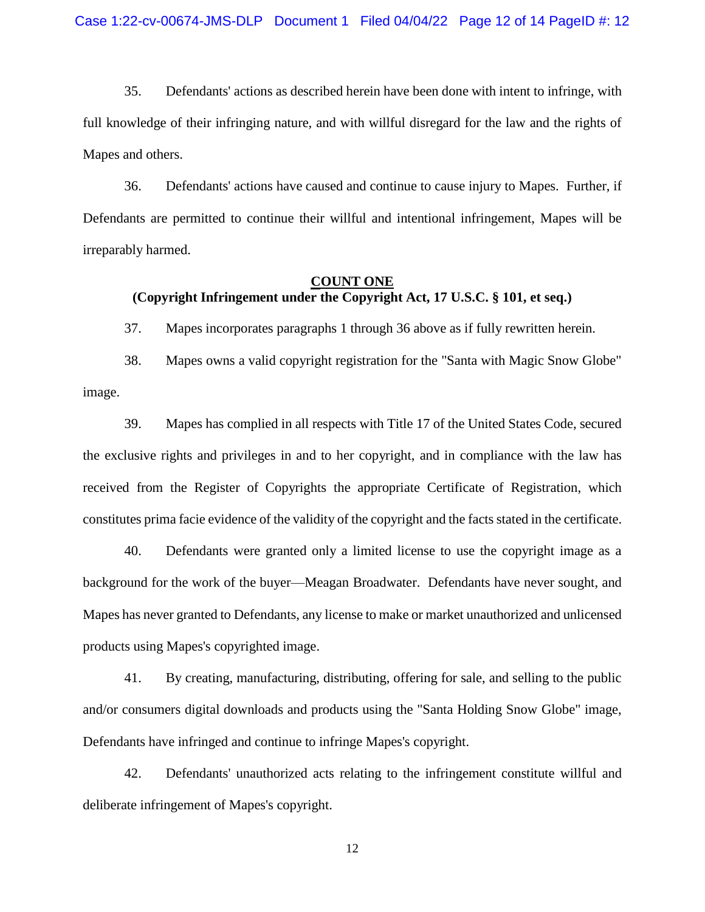35. Defendants' actions as described herein have been done with intent to infringe, with full knowledge of their infringing nature, and with willful disregard for the law and the rights of Mapes and others.

36. Defendants' actions have caused and continue to cause injury to Mapes. Further, if Defendants are permitted to continue their willful and intentional infringement, Mapes will be irreparably harmed.

## **COUNT ONE**

# **(Copyright Infringement under the Copyright Act, 17 U.S.C. § 101, et seq.)**

37. Mapes incorporates paragraphs 1 through 36 above as if fully rewritten herein.

38. Mapes owns a valid copyright registration for the "Santa with Magic Snow Globe" image.

39. Mapes has complied in all respects with Title 17 of the United States Code, secured the exclusive rights and privileges in and to her copyright, and in compliance with the law has received from the Register of Copyrights the appropriate Certificate of Registration, which constitutes prima facie evidence of the validity of the copyright and the facts stated in the certificate.

40. Defendants were granted only a limited license to use the copyright image as a background for the work of the buyer—Meagan Broadwater. Defendants have never sought, and Mapes has never granted to Defendants, any license to make or market unauthorized and unlicensed products using Mapes's copyrighted image.

41. By creating, manufacturing, distributing, offering for sale, and selling to the public and/or consumers digital downloads and products using the "Santa Holding Snow Globe" image, Defendants have infringed and continue to infringe Mapes's copyright.

42. Defendants' unauthorized acts relating to the infringement constitute willful and deliberate infringement of Mapes's copyright.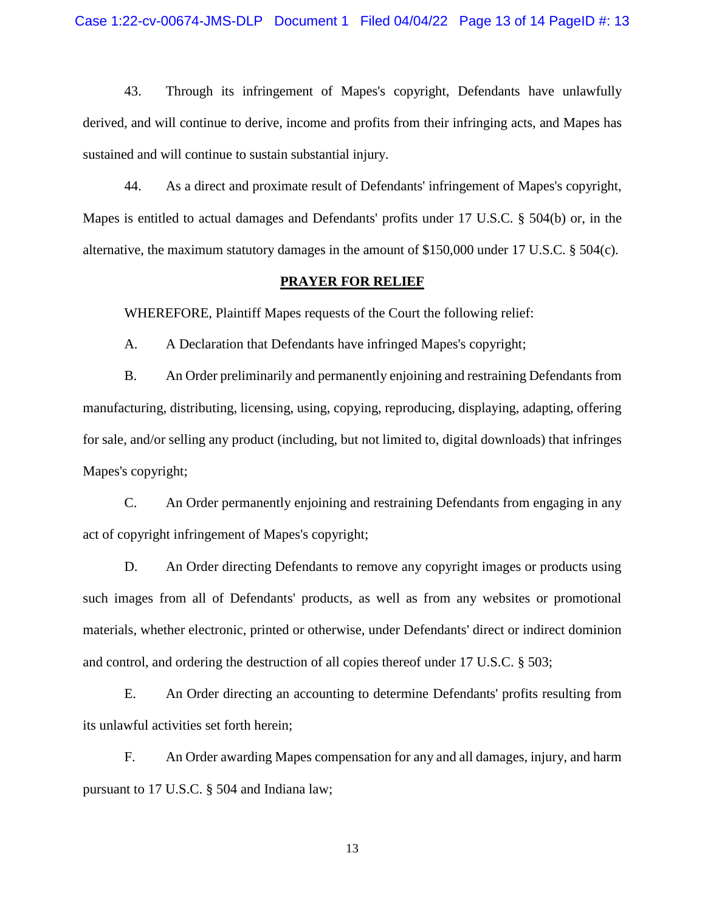43. Through its infringement of Mapes's copyright, Defendants have unlawfully derived, and will continue to derive, income and profits from their infringing acts, and Mapes has sustained and will continue to sustain substantial injury.

44. As a direct and proximate result of Defendants' infringement of Mapes's copyright, Mapes is entitled to actual damages and Defendants' profits under 17 U.S.C. § 504(b) or, in the alternative, the maximum statutory damages in the amount of \$150,000 under 17 U.S.C. § 504(c).

## **PRAYER FOR RELIEF**

WHEREFORE, Plaintiff Mapes requests of the Court the following relief:

A. A Declaration that Defendants have infringed Mapes's copyright;

B. An Order preliminarily and permanently enjoining and restraining Defendants from manufacturing, distributing, licensing, using, copying, reproducing, displaying, adapting, offering for sale, and/or selling any product (including, but not limited to, digital downloads) that infringes Mapes's copyright;

C. An Order permanently enjoining and restraining Defendants from engaging in any act of copyright infringement of Mapes's copyright;

D. An Order directing Defendants to remove any copyright images or products using such images from all of Defendants' products, as well as from any websites or promotional materials, whether electronic, printed or otherwise, under Defendants' direct or indirect dominion and control, and ordering the destruction of all copies thereof under 17 U.S.C. § 503;

E. An Order directing an accounting to determine Defendants' profits resulting from its unlawful activities set forth herein;

F. An Order awarding Mapes compensation for any and all damages, injury, and harm pursuant to 17 U.S.C. § 504 and Indiana law;